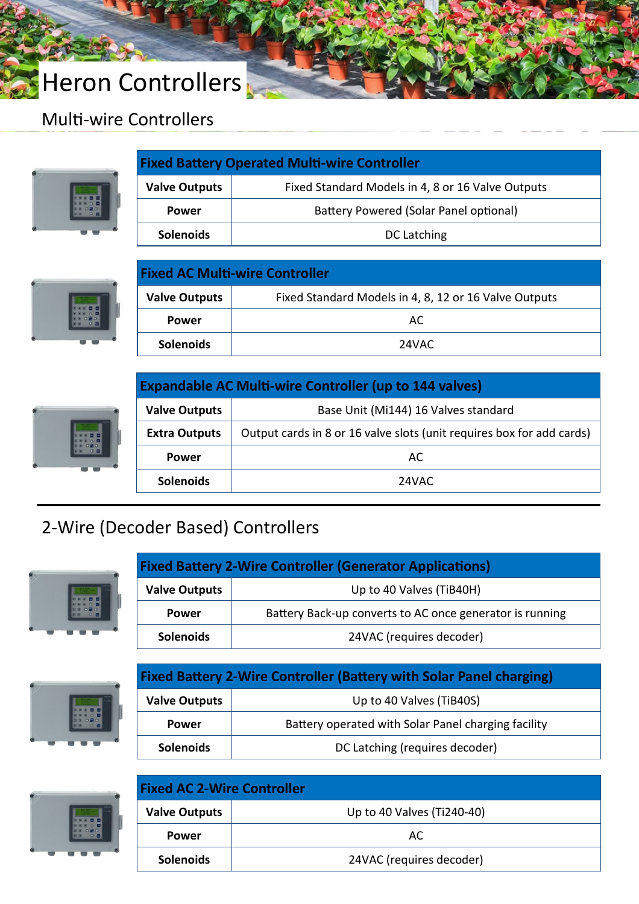# Heron Controllers

### Multi-wire Controllers



| <b>Fixed Battery Operated Multi-wire Controller</b> |                                                   |  |
|-----------------------------------------------------|---------------------------------------------------|--|
| <b>Valve Outputs</b>                                | Fixed Standard Models in 4, 8 or 16 Valve Outputs |  |
| <b>Power</b>                                        | Battery Powered (Solar Panel optional)            |  |
| <b>Solenoids</b>                                    | DC Latching                                       |  |



| <b>Fixed AC Multi-wire Controller</b> |                                                       |  |
|---------------------------------------|-------------------------------------------------------|--|
| <b>Valve Outputs</b>                  | Fixed Standard Models in 4, 8, 12 or 16 Valve Outputs |  |
| <b>Power</b>                          | AC.                                                   |  |
| <b>Solenoids</b>                      | 24VAC                                                 |  |



| <b>Expandable AC Multi-wire Controller (up to 144 valves)</b> |                                                                       |  |
|---------------------------------------------------------------|-----------------------------------------------------------------------|--|
| <b>Valve Outputs</b>                                          | Base Unit (Mi144) 16 Valves standard                                  |  |
| <b>Extra Outputs</b>                                          | Output cards in 8 or 16 valve slots (unit requires box for add cards) |  |
| <b>Power</b>                                                  | AC.                                                                   |  |
| <b>Solenoids</b>                                              | 24VAC                                                                 |  |

### Priva Acid Dosing Systems 2-Wire (Decoder Based) Controllers



| <b>Fixed Battery 2-Wire Controller (Generator Applications)</b> |                                                          |  |
|-----------------------------------------------------------------|----------------------------------------------------------|--|
| <b>Valve Outputs</b>                                            | Up to 40 Valves (TiB40H)                                 |  |
| <b>Power</b>                                                    | Battery Back-up converts to AC once generator is running |  |
| <b>Solenoids</b>                                                | 24VAC (requires decoder)                                 |  |



| <b>Fixed Battery 2-Wire Controller (Battery with Solar Panel charging)</b> |                                                     |  |
|----------------------------------------------------------------------------|-----------------------------------------------------|--|
| <b>Valve Outputs</b>                                                       | Up to 40 Valves (TiB40S)                            |  |
| Power                                                                      | Battery operated with Solar Panel charging facility |  |
| <b>Solenoids</b>                                                           | DC Latching (requires decoder)                      |  |



| <b>Fixed AC 2-Wire Controller</b> |                            |  |
|-----------------------------------|----------------------------|--|
| <b>Valve Outputs</b>              | Up to 40 Valves (Ti240-40) |  |
| <b>Power</b>                      | AC                         |  |
| <b>Solenoids</b>                  | 24VAC (requires decoder)   |  |